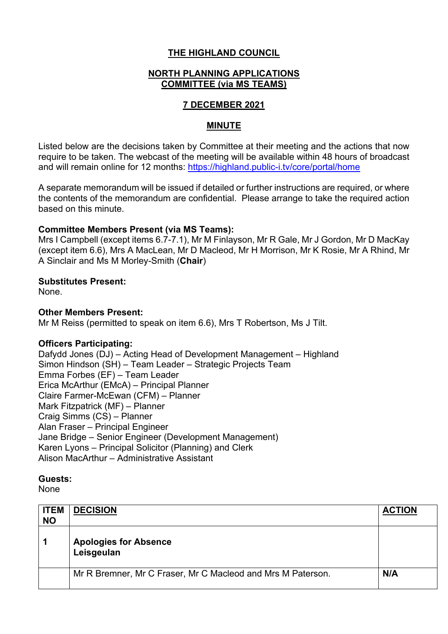# **THE HIGHLAND COUNCIL**

# **NORTH PLANNING APPLICATIONS COMMITTEE (via MS TEAMS)**

# **7 DECEMBER 2021**

# **MINUTE**

Listed below are the decisions taken by Committee at their meeting and the actions that now require to be taken. The webcast of the meeting will be available within 48 hours of broadcast and will remain online for 12 months: https://highland.public-i.tv/core/portal/home

A separate memorandum will be issued if detailed or further instructions are required, or where the contents of the memorandum are confidential. Please arrange to take the required action based on this minute.

## **Committee Members Present (via MS Teams):**

Mrs I Campbell (except items 6.7-7.1), Mr M Finlayson, Mr R Gale, Mr J Gordon, Mr D MacKay (except item 6.6), Mrs A MacLean, Mr D Macleod, Mr H Morrison, Mr K Rosie, Mr A Rhind, Mr A Sinclair and Ms M Morley-Smith (**Chair**)

### **Substitutes Present:**

None.

# **Other Members Present:**

Mr M Reiss (permitted to speak on item 6.6), Mrs T Robertson, Ms J Tilt.

### **Officers Participating:**

Dafydd Jones (DJ) – Acting Head of Development Management – Highland Simon Hindson (SH) – Team Leader – Strategic Projects Team Emma Forbes (EF) – Team Leader Erica McArthur (EMcA) – Principal Planner Claire Farmer-McEwan (CFM) – Planner Mark Fitzpatrick (MF) – Planner Craig Simms (CS) – Planner Alan Fraser – Principal Engineer Jane Bridge – Senior Engineer (Development Management) Karen Lyons – Principal Solicitor (Planning) and Clerk Alison MacArthur – Administrative Assistant

### **Guests:**

None

| <b>ITEM</b><br><b>NO</b> | <b>DECISION</b>                                             | <b>ACTION</b> |
|--------------------------|-------------------------------------------------------------|---------------|
|                          | <b>Apologies for Absence</b><br>Leisgeulan                  |               |
|                          | Mr R Bremner, Mr C Fraser, Mr C Macleod and Mrs M Paterson. | N/A           |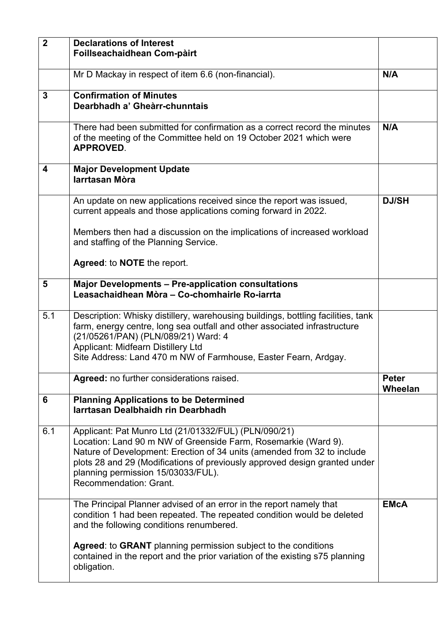| $\overline{\mathbf{2}}$ | <b>Declarations of Interest</b><br>Foillseachaidhean Com-pàirt                                                                                                                                                                                                                                                                                  |                         |
|-------------------------|-------------------------------------------------------------------------------------------------------------------------------------------------------------------------------------------------------------------------------------------------------------------------------------------------------------------------------------------------|-------------------------|
|                         | Mr D Mackay in respect of item 6.6 (non-financial).                                                                                                                                                                                                                                                                                             | N/A                     |
| 3                       | <b>Confirmation of Minutes</b><br>Dearbhadh a' Gheàrr-chunntais                                                                                                                                                                                                                                                                                 |                         |
|                         | There had been submitted for confirmation as a correct record the minutes<br>of the meeting of the Committee held on 19 October 2021 which were<br><b>APPROVED.</b>                                                                                                                                                                             | N/A                     |
| 4                       | <b>Major Development Update</b><br>larrtasan Mòra                                                                                                                                                                                                                                                                                               |                         |
|                         | An update on new applications received since the report was issued,<br>current appeals and those applications coming forward in 2022.                                                                                                                                                                                                           | <b>DJ/SH</b>            |
|                         | Members then had a discussion on the implications of increased workload<br>and staffing of the Planning Service.                                                                                                                                                                                                                                |                         |
|                         | Agreed: to NOTE the report.                                                                                                                                                                                                                                                                                                                     |                         |
| 5                       | <b>Major Developments - Pre-application consultations</b><br>Leasachaidhean Mòra - Co-chomhairle Ro-iarrta                                                                                                                                                                                                                                      |                         |
| 5.1                     | Description: Whisky distillery, warehousing buildings, bottling facilities, tank<br>farm, energy centre, long sea outfall and other associated infrastructure<br>(21/05261/PAN) (PLN/089/21) Ward: 4<br><b>Applicant: Midfearn Distillery Ltd</b><br>Site Address: Land 470 m NW of Farmhouse, Easter Fearn, Ardgay.                            |                         |
|                         | <b>Agreed:</b> no further considerations raised.                                                                                                                                                                                                                                                                                                | <b>Peter</b><br>Wheelan |
| 6                       | <b>Planning Applications to be Determined</b><br>larrtasan Dealbhaidh rin Dearbhadh                                                                                                                                                                                                                                                             |                         |
| 6.1                     | Applicant: Pat Munro Ltd (21/01332/FUL) (PLN/090/21)<br>Location: Land 90 m NW of Greenside Farm, Rosemarkie (Ward 9).<br>Nature of Development: Erection of 34 units (amended from 32 to include<br>plots 28 and 29 (Modifications of previously approved design granted under<br>planning permission 15/03033/FUL).<br>Recommendation: Grant. |                         |
|                         | The Principal Planner advised of an error in the report namely that<br>condition 1 had been repeated. The repeated condition would be deleted<br>and the following conditions renumbered.                                                                                                                                                       | <b>EMcA</b>             |
|                         | Agreed: to GRANT planning permission subject to the conditions<br>contained in the report and the prior variation of the existing s75 planning<br>obligation.                                                                                                                                                                                   |                         |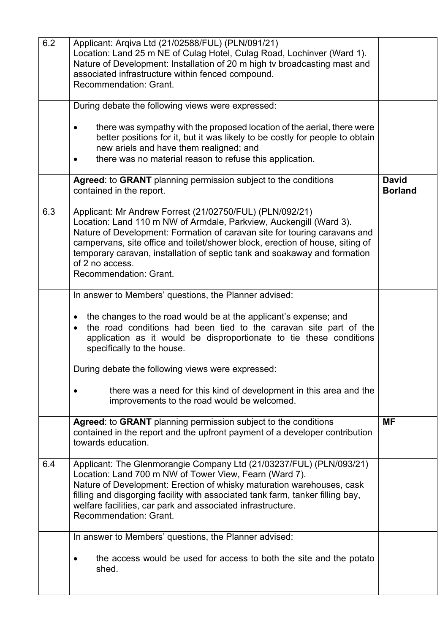| 6.2 | Applicant: Arqiva Ltd (21/02588/FUL) (PLN/091/21)<br>Location: Land 25 m NE of Culag Hotel, Culag Road, Lochinver (Ward 1).<br>Nature of Development: Installation of 20 m high tv broadcasting mast and<br>associated infrastructure within fenced compound.<br>Recommendation: Grant.                                                                                                                                |                                |
|-----|------------------------------------------------------------------------------------------------------------------------------------------------------------------------------------------------------------------------------------------------------------------------------------------------------------------------------------------------------------------------------------------------------------------------|--------------------------------|
|     | During debate the following views were expressed:                                                                                                                                                                                                                                                                                                                                                                      |                                |
|     | there was sympathy with the proposed location of the aerial, there were<br>better positions for it, but it was likely to be costly for people to obtain<br>new ariels and have them realigned; and<br>there was no material reason to refuse this application.                                                                                                                                                         |                                |
|     | Agreed: to GRANT planning permission subject to the conditions<br>contained in the report.                                                                                                                                                                                                                                                                                                                             | <b>David</b><br><b>Borland</b> |
| 6.3 | Applicant: Mr Andrew Forrest (21/02750/FUL) (PLN/092/21)<br>Location: Land 110 m NW of Armdale, Parkview, Auckengill (Ward 3).<br>Nature of Development: Formation of caravan site for touring caravans and<br>campervans, site office and toilet/shower block, erection of house, siting of<br>temporary caravan, installation of septic tank and soakaway and formation<br>of 2 no access.<br>Recommendation: Grant. |                                |
|     | In answer to Members' questions, the Planner advised:                                                                                                                                                                                                                                                                                                                                                                  |                                |
|     | the changes to the road would be at the applicant's expense; and<br>$\bullet$<br>the road conditions had been tied to the caravan site part of the<br>application as it would be disproportionate to tie these conditions<br>specifically to the house.                                                                                                                                                                |                                |
|     | During debate the following views were expressed:                                                                                                                                                                                                                                                                                                                                                                      |                                |
|     | there was a need for this kind of development in this area and the<br>improvements to the road would be welcomed.                                                                                                                                                                                                                                                                                                      |                                |
|     | Agreed: to GRANT planning permission subject to the conditions<br>contained in the report and the upfront payment of a developer contribution<br>towards education.                                                                                                                                                                                                                                                    | <b>MF</b>                      |
| 6.4 | Applicant: The Glenmorangie Company Ltd (21/03237/FUL) (PLN/093/21)<br>Location: Land 700 m NW of Tower View, Fearn (Ward 7).<br>Nature of Development: Erection of whisky maturation warehouses, cask<br>filling and disgorging facility with associated tank farm, tanker filling bay,<br>welfare facilities, car park and associated infrastructure.<br>Recommendation: Grant.                                      |                                |
|     | In answer to Members' questions, the Planner advised:                                                                                                                                                                                                                                                                                                                                                                  |                                |
|     | the access would be used for access to both the site and the potato<br>shed.                                                                                                                                                                                                                                                                                                                                           |                                |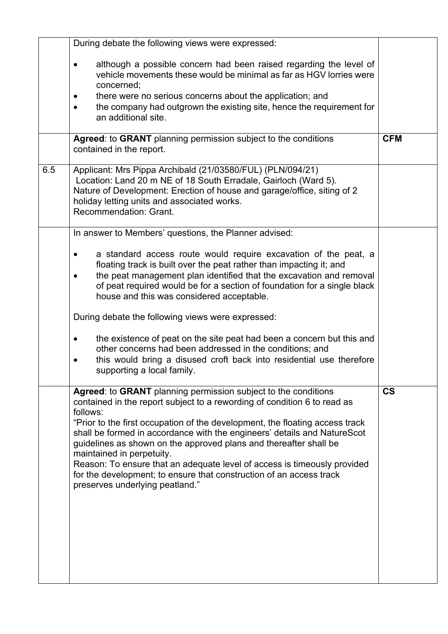|     | During debate the following views were expressed:                                                                                                                                                                                                                                                                                                                                                                                                                                                                                                                                                          |                          |
|-----|------------------------------------------------------------------------------------------------------------------------------------------------------------------------------------------------------------------------------------------------------------------------------------------------------------------------------------------------------------------------------------------------------------------------------------------------------------------------------------------------------------------------------------------------------------------------------------------------------------|--------------------------|
|     | although a possible concern had been raised regarding the level of<br>vehicle movements these would be minimal as far as HGV lorries were<br>concerned;                                                                                                                                                                                                                                                                                                                                                                                                                                                    |                          |
|     | there were no serious concerns about the application; and<br>the company had outgrown the existing site, hence the requirement for<br>an additional site.                                                                                                                                                                                                                                                                                                                                                                                                                                                  |                          |
|     | Agreed: to GRANT planning permission subject to the conditions<br>contained in the report.                                                                                                                                                                                                                                                                                                                                                                                                                                                                                                                 | <b>CFM</b>               |
| 6.5 | Applicant: Mrs Pippa Archibald (21/03580/FUL) (PLN/094/21)<br>Location: Land 20 m NE of 18 South Erradale, Gairloch (Ward 5).<br>Nature of Development: Erection of house and garage/office, siting of 2<br>holiday letting units and associated works.<br>Recommendation: Grant.                                                                                                                                                                                                                                                                                                                          |                          |
|     | In answer to Members' questions, the Planner advised:                                                                                                                                                                                                                                                                                                                                                                                                                                                                                                                                                      |                          |
|     | a standard access route would require excavation of the peat, a<br>floating track is built over the peat rather than impacting it; and<br>the peat management plan identified that the excavation and removal<br>of peat required would be for a section of foundation for a single black<br>house and this was considered acceptable.                                                                                                                                                                                                                                                                     |                          |
|     | During debate the following views were expressed:                                                                                                                                                                                                                                                                                                                                                                                                                                                                                                                                                          |                          |
|     | the existence of peat on the site peat had been a concern but this and<br>other concerns had been addressed in the conditions; and<br>this would bring a disused croft back into residential use therefore<br>supporting a local family.                                                                                                                                                                                                                                                                                                                                                                   |                          |
|     | Agreed: to GRANT planning permission subject to the conditions<br>contained in the report subject to a rewording of condition 6 to read as<br>follows:<br>"Prior to the first occupation of the development, the floating access track<br>shall be formed in accordance with the engineers' details and NatureScot<br>guidelines as shown on the approved plans and thereafter shall be<br>maintained in perpetuity.<br>Reason: To ensure that an adequate level of access is timeously provided<br>for the development; to ensure that construction of an access track<br>preserves underlying peatland." | $\mathsf{CS}\phantom{0}$ |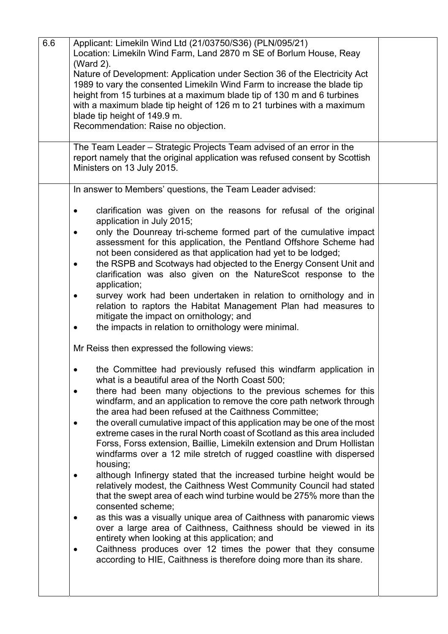| 6.6 | Applicant: Limekiln Wind Ltd (21/03750/S36) (PLN/095/21)<br>Location: Limekiln Wind Farm, Land 2870 m SE of Borlum House, Reay<br>(Ward 2).<br>Nature of Development: Application under Section 36 of the Electricity Act<br>1989 to vary the consented Limekiln Wind Farm to increase the blade tip<br>height from 15 turbines at a maximum blade tip of 130 m and 6 turbines<br>with a maximum blade tip height of 126 m to 21 turbines with a maximum<br>blade tip height of 149.9 m.<br>Recommendation: Raise no objection. |  |
|-----|---------------------------------------------------------------------------------------------------------------------------------------------------------------------------------------------------------------------------------------------------------------------------------------------------------------------------------------------------------------------------------------------------------------------------------------------------------------------------------------------------------------------------------|--|
|     | The Team Leader - Strategic Projects Team advised of an error in the<br>report namely that the original application was refused consent by Scottish<br>Ministers on 13 July 2015.                                                                                                                                                                                                                                                                                                                                               |  |
|     | In answer to Members' questions, the Team Leader advised:                                                                                                                                                                                                                                                                                                                                                                                                                                                                       |  |
|     | clarification was given on the reasons for refusal of the original<br>application in July 2015;                                                                                                                                                                                                                                                                                                                                                                                                                                 |  |
|     | only the Dounreay tri-scheme formed part of the cumulative impact<br>assessment for this application, the Pentland Offshore Scheme had<br>not been considered as that application had yet to be lodged;                                                                                                                                                                                                                                                                                                                         |  |
|     | the RSPB and Scotways had objected to the Energy Consent Unit and<br>clarification was also given on the NatureScot response to the<br>application;                                                                                                                                                                                                                                                                                                                                                                             |  |
|     | survey work had been undertaken in relation to ornithology and in<br>relation to raptors the Habitat Management Plan had measures to<br>mitigate the impact on ornithology; and                                                                                                                                                                                                                                                                                                                                                 |  |
|     | the impacts in relation to ornithology were minimal.                                                                                                                                                                                                                                                                                                                                                                                                                                                                            |  |
|     | Mr Reiss then expressed the following views:                                                                                                                                                                                                                                                                                                                                                                                                                                                                                    |  |
|     | the Committee had previously refused this windfarm application in<br>what is a beautiful area of the North Coast 500;<br>there had been many objections to the previous schemes for this                                                                                                                                                                                                                                                                                                                                        |  |
|     | windfarm, and an application to remove the core path network through<br>the area had been refused at the Caithness Committee;                                                                                                                                                                                                                                                                                                                                                                                                   |  |
|     | the overall cumulative impact of this application may be one of the most<br>extreme cases in the rural North coast of Scotland as this area included<br>Forss, Forss extension, Baillie, Limekiln extension and Drum Hollistan<br>windfarms over a 12 mile stretch of rugged coastline with dispersed<br>housing;                                                                                                                                                                                                               |  |
|     | although Infinergy stated that the increased turbine height would be<br>relatively modest, the Caithness West Community Council had stated<br>that the swept area of each wind turbine would be 275% more than the<br>consented scheme;                                                                                                                                                                                                                                                                                         |  |
|     | as this was a visually unique area of Caithness with panaromic views<br>over a large area of Caithness, Caithness should be viewed in its<br>entirety when looking at this application; and                                                                                                                                                                                                                                                                                                                                     |  |
|     | Caithness produces over 12 times the power that they consume<br>according to HIE, Caithness is therefore doing more than its share.                                                                                                                                                                                                                                                                                                                                                                                             |  |
|     |                                                                                                                                                                                                                                                                                                                                                                                                                                                                                                                                 |  |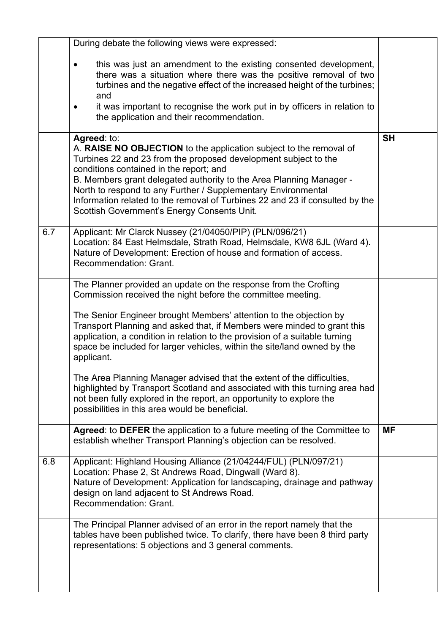|     | During debate the following views were expressed:                                                                                                                                                                                                                                                                                                                                                                                                                      |           |
|-----|------------------------------------------------------------------------------------------------------------------------------------------------------------------------------------------------------------------------------------------------------------------------------------------------------------------------------------------------------------------------------------------------------------------------------------------------------------------------|-----------|
|     | this was just an amendment to the existing consented development,<br>$\bullet$<br>there was a situation where there was the positive removal of two<br>turbines and the negative effect of the increased height of the turbines;<br>and                                                                                                                                                                                                                                |           |
|     | it was important to recognise the work put in by officers in relation to<br>the application and their recommendation.                                                                                                                                                                                                                                                                                                                                                  |           |
|     | Agreed: to:<br>A. RAISE NO OBJECTION to the application subject to the removal of<br>Turbines 22 and 23 from the proposed development subject to the<br>conditions contained in the report; and<br>B. Members grant delegated authority to the Area Planning Manager -<br>North to respond to any Further / Supplementary Environmental<br>Information related to the removal of Turbines 22 and 23 if consulted by the<br>Scottish Government's Energy Consents Unit. | <b>SH</b> |
| 6.7 | Applicant: Mr Clarck Nussey (21/04050/PIP) (PLN/096/21)<br>Location: 84 East Helmsdale, Strath Road, Helmsdale, KW8 6JL (Ward 4).<br>Nature of Development: Erection of house and formation of access.<br><b>Recommendation: Grant.</b>                                                                                                                                                                                                                                |           |
|     | The Planner provided an update on the response from the Crofting<br>Commission received the night before the committee meeting.                                                                                                                                                                                                                                                                                                                                        |           |
|     | The Senior Engineer brought Members' attention to the objection by<br>Transport Planning and asked that, if Members were minded to grant this<br>application, a condition in relation to the provision of a suitable turning<br>space be included for larger vehicles, within the site/land owned by the<br>applicant.                                                                                                                                                 |           |
|     | The Area Planning Manager advised that the extent of the difficulties,<br>highlighted by Transport Scotland and associated with this turning area had<br>not been fully explored in the report, an opportunity to explore the<br>possibilities in this area would be beneficial.                                                                                                                                                                                       |           |
|     | Agreed: to DEFER the application to a future meeting of the Committee to<br>establish whether Transport Planning's objection can be resolved.                                                                                                                                                                                                                                                                                                                          | <b>MF</b> |
| 6.8 | Applicant: Highland Housing Alliance (21/04244/FUL) (PLN/097/21)<br>Location: Phase 2, St Andrews Road, Dingwall (Ward 8).<br>Nature of Development: Application for landscaping, drainage and pathway<br>design on land adjacent to St Andrews Road.<br>Recommendation: Grant.                                                                                                                                                                                        |           |
|     | The Principal Planner advised of an error in the report namely that the<br>tables have been published twice. To clarify, there have been 8 third party<br>representations: 5 objections and 3 general comments.                                                                                                                                                                                                                                                        |           |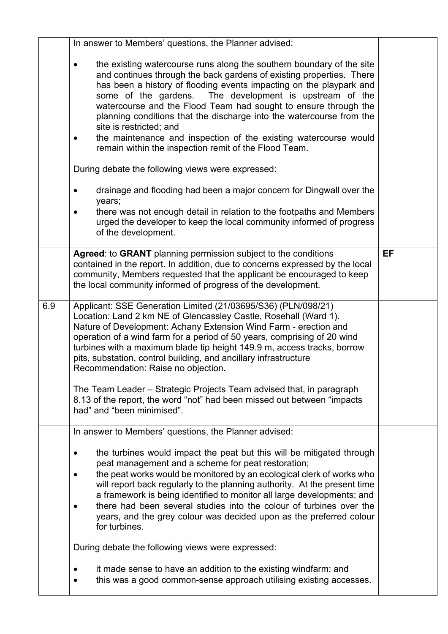|     | In answer to Members' questions, the Planner advised:                                                                                                                                                                                                                                                                                                                                                                                                                                                                                                                                                                                                                |    |
|-----|----------------------------------------------------------------------------------------------------------------------------------------------------------------------------------------------------------------------------------------------------------------------------------------------------------------------------------------------------------------------------------------------------------------------------------------------------------------------------------------------------------------------------------------------------------------------------------------------------------------------------------------------------------------------|----|
|     | the existing watercourse runs along the southern boundary of the site<br>$\bullet$<br>and continues through the back gardens of existing properties. There<br>has been a history of flooding events impacting on the playpark and<br>some of the gardens.<br>The development is upstream of the<br>watercourse and the Flood Team had sought to ensure through the<br>planning conditions that the discharge into the watercourse from the<br>site is restricted; and<br>the maintenance and inspection of the existing watercourse would<br>$\bullet$<br>remain within the inspection remit of the Flood Team.<br>During debate the following views were expressed: |    |
|     | drainage and flooding had been a major concern for Dingwall over the<br>years;<br>there was not enough detail in relation to the footpaths and Members<br>urged the developer to keep the local community informed of progress<br>of the development.                                                                                                                                                                                                                                                                                                                                                                                                                |    |
|     | Agreed: to GRANT planning permission subject to the conditions<br>contained in the report. In addition, due to concerns expressed by the local<br>community, Members requested that the applicant be encouraged to keep<br>the local community informed of progress of the development.                                                                                                                                                                                                                                                                                                                                                                              | EF |
| 6.9 | Applicant: SSE Generation Limited (21/03695/S36) (PLN/098/21)<br>Location: Land 2 km NE of Glencassley Castle, Rosehall (Ward 1).<br>Nature of Development: Achany Extension Wind Farm - erection and<br>operation of a wind farm for a period of 50 years, comprising of 20 wind<br>turbines with a maximum blade tip height 149.9 m, access tracks, borrow<br>pits, substation, control building, and ancillary infrastructure<br>Recommendation: Raise no objection.                                                                                                                                                                                              |    |
|     | The Team Leader – Strategic Projects Team advised that, in paragraph<br>8.13 of the report, the word "not" had been missed out between "impacts<br>had" and "been minimised".                                                                                                                                                                                                                                                                                                                                                                                                                                                                                        |    |
|     | In answer to Members' questions, the Planner advised:<br>the turbines would impact the peat but this will be mitigated through<br>$\bullet$<br>peat management and a scheme for peat restoration;<br>the peat works would be monitored by an ecological clerk of works who<br>will report back regularly to the planning authority. At the present time<br>a framework is being identified to monitor all large developments; and<br>there had been several studies into the colour of turbines over the<br>years, and the grey colour was decided upon as the preferred colour<br>for turbines.                                                                     |    |
|     | During debate the following views were expressed:<br>it made sense to have an addition to the existing windfarm; and<br>this was a good common-sense approach utilising existing accesses.                                                                                                                                                                                                                                                                                                                                                                                                                                                                           |    |